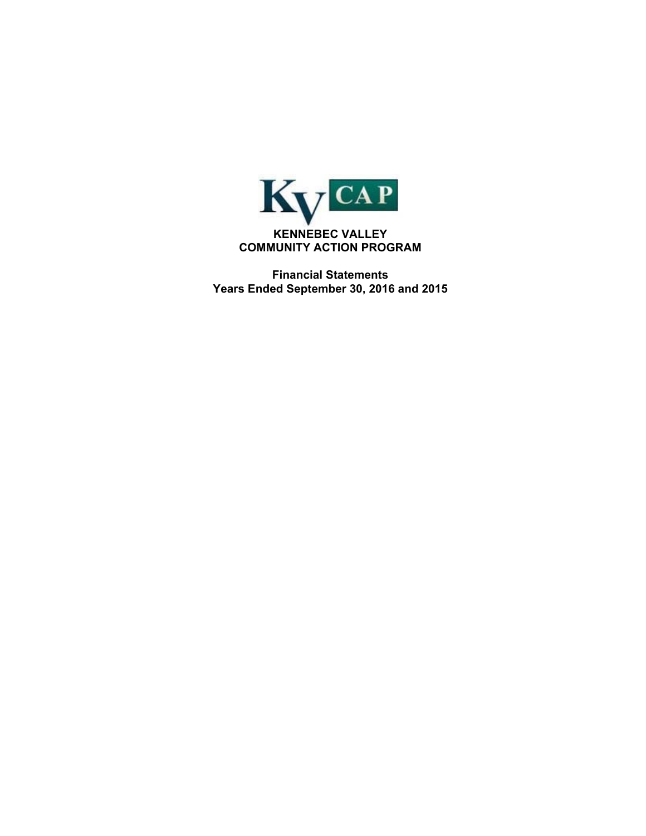

**Financial Statements Years Ended September 30, 2016 and 2015**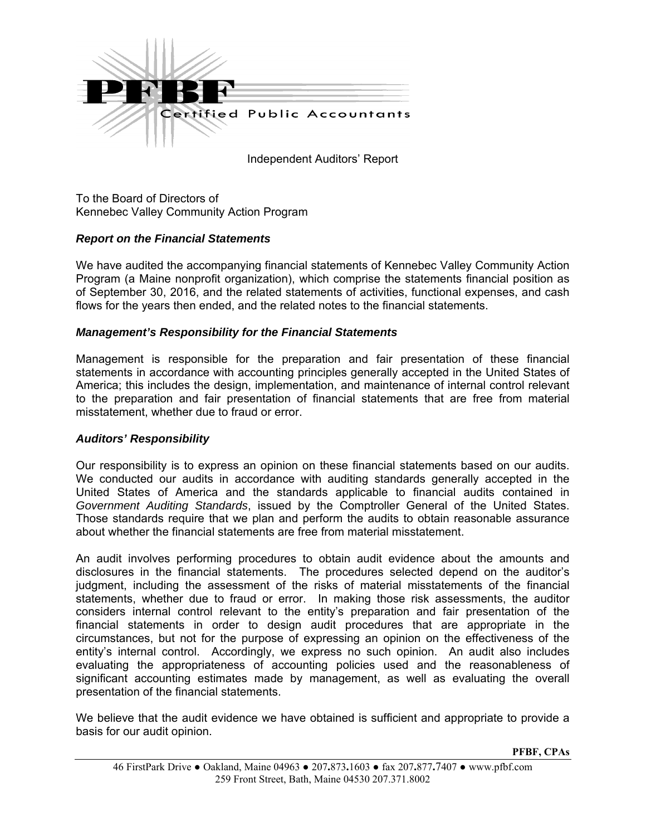

Independent Auditors' Report

To the Board of Directors of Kennebec Valley Community Action Program

## *Report on the Financial Statements*

We have audited the accompanying financial statements of Kennebec Valley Community Action Program (a Maine nonprofit organization), which comprise the statements financial position as of September 30, 2016, and the related statements of activities, functional expenses, and cash flows for the years then ended, and the related notes to the financial statements.

#### *Management's Responsibility for the Financial Statements*

Management is responsible for the preparation and fair presentation of these financial statements in accordance with accounting principles generally accepted in the United States of America; this includes the design, implementation, and maintenance of internal control relevant to the preparation and fair presentation of financial statements that are free from material misstatement, whether due to fraud or error.

#### *Auditors' Responsibility*

Our responsibility is to express an opinion on these financial statements based on our audits. We conducted our audits in accordance with auditing standards generally accepted in the United States of America and the standards applicable to financial audits contained in *Government Auditing Standards*, issued by the Comptroller General of the United States. Those standards require that we plan and perform the audits to obtain reasonable assurance about whether the financial statements are free from material misstatement.

An audit involves performing procedures to obtain audit evidence about the amounts and disclosures in the financial statements. The procedures selected depend on the auditor's judgment, including the assessment of the risks of material misstatements of the financial statements, whether due to fraud or error. In making those risk assessments, the auditor considers internal control relevant to the entity's preparation and fair presentation of the financial statements in order to design audit procedures that are appropriate in the circumstances, but not for the purpose of expressing an opinion on the effectiveness of the entity's internal control. Accordingly, we express no such opinion. An audit also includes evaluating the appropriateness of accounting policies used and the reasonableness of significant accounting estimates made by management, as well as evaluating the overall presentation of the financial statements.

We believe that the audit evidence we have obtained is sufficient and appropriate to provide a basis for our audit opinion.

**PFBF, CPAs**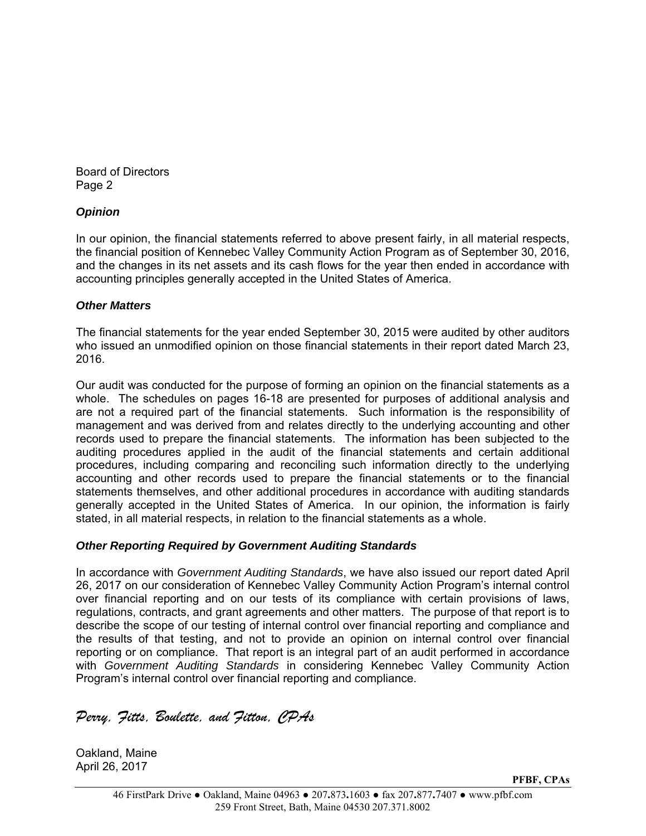Board of Directors Page 2

## *Opinion*

In our opinion, the financial statements referred to above present fairly, in all material respects, the financial position of Kennebec Valley Community Action Program as of September 30, 2016, and the changes in its net assets and its cash flows for the year then ended in accordance with accounting principles generally accepted in the United States of America.

#### *Other Matters*

The financial statements for the year ended September 30, 2015 were audited by other auditors who issued an unmodified opinion on those financial statements in their report dated March 23, 2016.

Our audit was conducted for the purpose of forming an opinion on the financial statements as a whole. The schedules on pages 16-18 are presented for purposes of additional analysis and are not a required part of the financial statements. Such information is the responsibility of management and was derived from and relates directly to the underlying accounting and other records used to prepare the financial statements. The information has been subjected to the auditing procedures applied in the audit of the financial statements and certain additional procedures, including comparing and reconciling such information directly to the underlying accounting and other records used to prepare the financial statements or to the financial statements themselves, and other additional procedures in accordance with auditing standards generally accepted in the United States of America. In our opinion, the information is fairly stated, in all material respects, in relation to the financial statements as a whole.

## *Other Reporting Required by Government Auditing Standards*

In accordance with *Government Auditing Standards*, we have also issued our report dated April 26, 2017 on our consideration of Kennebec Valley Community Action Program's internal control over financial reporting and on our tests of its compliance with certain provisions of laws, regulations, contracts, and grant agreements and other matters. The purpose of that report is to describe the scope of our testing of internal control over financial reporting and compliance and the results of that testing, and not to provide an opinion on internal control over financial reporting or on compliance. That report is an integral part of an audit performed in accordance with *Government Auditing Standards* in considering Kennebec Valley Community Action Program's internal control over financial reporting and compliance.

*Perry, Fitts, Boulette, and Fitton, CPAs*

Oakland, Maine April 26, 2017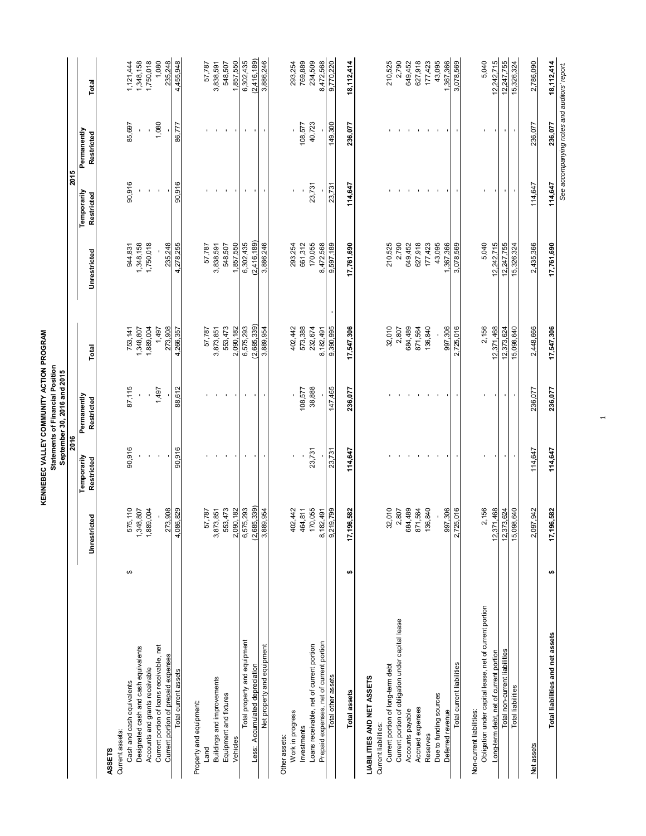| KENNEBEC VALLEY COMMUNITY ACTION PROGRAM | Statements of Financial Position | September 30, 2016 and 2015 |
|------------------------------------------|----------------------------------|-----------------------------|
|------------------------------------------|----------------------------------|-----------------------------|

|                                                        |   |                   | 2016                      |                           |             |              | 2015                      |                                              |              |
|--------------------------------------------------------|---|-------------------|---------------------------|---------------------------|-------------|--------------|---------------------------|----------------------------------------------|--------------|
|                                                        |   | :ted<br>Unrestric | Temporarily<br>Restricted | Permanently<br>Restricted | Total       | Unrestricted | Temporarily<br>Restricted | Permanently<br>Restricted                    | Total        |
| <b>ASSETS</b>                                          |   |                   |                           |                           |             |              |                           |                                              |              |
| Cash and cash equivalents<br>Current assets:           | ↮ | 575,110           | 90,916                    | 87,115                    | 753,141     | 944,831      | 90,916                    | 85,697                                       | 1,121,444    |
| Designated cash and cash equivalents                   |   | 1,348,807         |                           |                           | 1,348,807   | 1,348,158    |                           |                                              | 1,348,158    |
| Accounts and grants receivable                         |   | 1,889,004         |                           |                           | 1,889,004   | 1,750,018    |                           |                                              | 1,750,018    |
| Current portion of loans receivable, net               |   |                   |                           | 1,497                     | 1,497       |              |                           | 1,080                                        | 1,080        |
| Current portion of prepaid expenses                    |   | 273,908           |                           |                           | 273,908     | 235,248      |                           |                                              | 235,248      |
| Total current assets                                   |   | 4,086,829         | 90,916                    | 88,612                    | 4,266,357   | 4,278,255    | 90,916                    | 86,777                                       | 4,455,948    |
| Property and equipment:                                |   |                   |                           |                           |             |              |                           |                                              |              |
| Land                                                   |   | 57,787            |                           |                           | 57,787      | 57,787       |                           |                                              | 57,787       |
| Buildings and improvements                             |   | 3,873,851         |                           |                           | 3,873,851   | 3,838,591    |                           |                                              | 3,838,591    |
| Equipment and fixtures                                 |   | 553,473           |                           |                           | 553,473     | 548,507      |                           |                                              | 548,507      |
| Vehicles                                               |   | 2,090,182         |                           |                           | 2,090,182   | 1,857,550    |                           |                                              | 1,857,550    |
| Total property and equipment                           |   | 6,575,293         |                           | $\blacksquare$            | 6,575,293   | 6,302,435    |                           | $\blacksquare$                               | 6,302,435    |
| Less: Accumulated depreciation                         |   | (2,685,339)       |                           |                           | (2,685,339) | (2,416,189)  |                           |                                              | (2,416,189)  |
| Net property and equipment                             |   | 3,889,954         |                           |                           | 3,889,954   | 3,886,246    |                           |                                              | 3,886,246    |
| Other assets:                                          |   |                   |                           |                           |             |              |                           |                                              |              |
| Work in progress                                       |   | 402,442           |                           |                           | 402,442     | 293,254      |                           |                                              | 293,254      |
| Investments                                            |   | 464,811           |                           | 108,577                   | 573,388     | 661,312      |                           | 108,577                                      | 769,889      |
| Loans receivable, net of current portion               |   | 170,055           | 23,731                    | 38,888                    | 232,674     | 170,055      | 23,731                    | 40,723                                       | 234,509      |
| Prepaid expenses, net of current portion               |   | 8,182,491         |                           |                           | 8,182,491   | 8,472,568    |                           |                                              | 8,472,568    |
| Total other assets                                     |   | 9,219,799         | 23,731                    | 147,465                   | 9,390,995   | 9,597,189    | 23,731                    | 149,300                                      | 9,770,220    |
| Total assets                                           | ₩ | 17,196,582        | 114,647                   | 236,077                   | 17,547,306  | 17,761,690   | 114,647                   | 236,077                                      | 18,112,414   |
| LIABILITIES AND NET ASSETS                             |   |                   |                           |                           |             |              |                           |                                              |              |
| Current liabilities:                                   |   |                   |                           |                           |             |              |                           |                                              |              |
| Current portion of long-term debt                      |   | 32,010            |                           |                           | 32,010      | 210,525      |                           |                                              | 210,525      |
| Current portion of obligation under capital lease      |   | 2,807             |                           |                           | 2,807       | 2,790        |                           |                                              | 2,790        |
| Accounts payable                                       |   | 684,489           |                           |                           | 684,489     | 649,452      |                           |                                              | 649,452      |
| Accrued expenses                                       |   | 871,564           |                           |                           | 871,564     | 627,918      |                           |                                              | 627,918      |
| Reserves                                               |   | 136,840           |                           |                           | 136,840     | 177,423      |                           |                                              | 177,423      |
| Due to funding sources                                 |   |                   |                           |                           |             | 43,095       |                           |                                              | 43,095       |
| Deferred revenue                                       |   | 997,306           |                           |                           | 997,306     | 1,367,366    |                           |                                              | 1,367,366    |
| Total current liabilities                              |   | 2,725,016         |                           |                           | 2,725,016   | 3,078,569    |                           |                                              | 3,078,569    |
| Non-current liabilities:                               |   |                   |                           |                           |             |              |                           |                                              |              |
| Obligation under capital lease, net of current portion |   | 2,156             |                           | ı                         | 2,156       | 5,040        |                           |                                              | 5,040        |
| Long-term debt, net of current portion                 |   | 12,371,468        |                           |                           | 12,371,468  | 12,242,715   |                           |                                              | 12,242,715   |
| Total non-current liabilities                          |   | 12,373,624        | $\blacksquare$            | $\blacksquare$            | 12,373,624  | 12,247,755   |                           | $\blacksquare$                               | 12,247,755   |
| <b>Total liabilities</b>                               |   | 15,098,640        |                           |                           | 15,098,640  | 15,326,324   |                           |                                              | 15,326,324   |
| Net assets                                             |   | 2,097,942         | 114,647                   | 236,077                   | 2,448,666   | 2,435,366    | 114,647                   | 236,077                                      | 2,786,090    |
|                                                        |   |                   |                           |                           |             |              |                           |                                              |              |
| Total liabilities and net assets                       | ↮ | 17,196,582        | 114,647                   | 236,077                   | 17,547,306  | 17,761,690   | 114,647                   | 236,077                                      | 18, 112, 414 |
|                                                        |   |                   |                           |                           |             |              |                           | See accompanying notes and auditors' report. |              |

 $\overline{\phantom{0}}$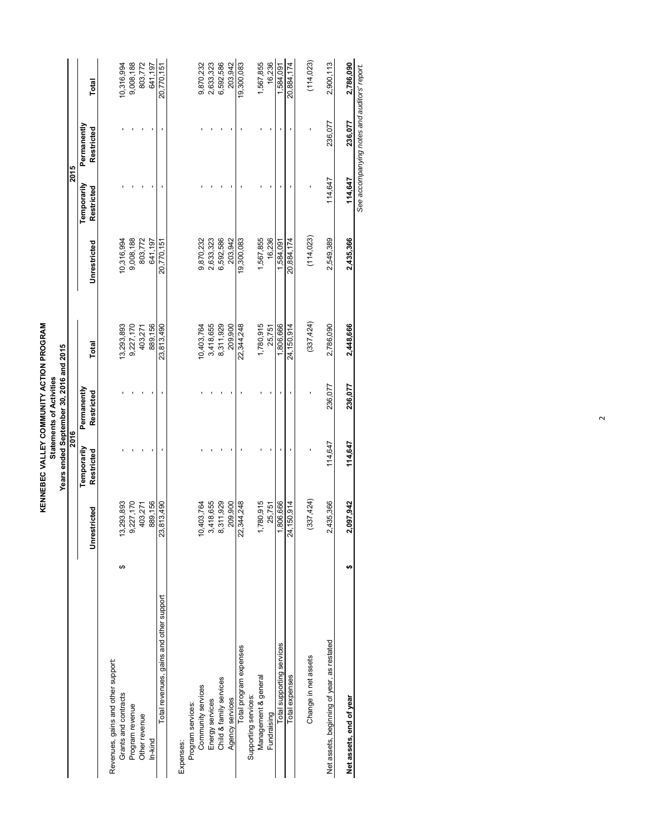**KENNEBEC VALLEY COMMUNITY ACTION PROGRAM**<br>Statements of Activities **KENNEBEC VALLEY COMMUNITY ACTION PROGRAM Statements of Activities**

|                                            |    |              |             | Years ended September 30, 2016 and 2015 |            |              |             |                                              |            |
|--------------------------------------------|----|--------------|-------------|-----------------------------------------|------------|--------------|-------------|----------------------------------------------|------------|
|                                            |    |              | 2016        |                                         |            |              | 2015        |                                              |            |
|                                            |    |              | Temporarily | Permanently                             |            |              | Temporarily | Permanently                                  |            |
|                                            |    | Unrestricted | Restricted  | Restricted                              | Total      | Unrestricted | Restricted  | Restricted                                   | Total      |
| Revenues, gains and other support:         |    |              |             |                                         |            |              |             |                                              |            |
| Grants and contracts                       | ↮  | 3,293,893    |             |                                         | 13,293,893 | 10,316,994   |             |                                              | 10,316,994 |
| Program revenue                            |    | 9,227,170    |             |                                         | 9,227,170  | 9,008,188    |             |                                              | 9,008,188  |
| Other revenue                              |    | 403,271      |             |                                         | 403,271    | 803,772      |             |                                              | 803,772    |
| In-kind                                    |    | 889,156      |             |                                         | 889,156    | 641,197      |             |                                              | 641.197    |
| Total revenues, gains and other support    |    | 23,813,490   |             |                                         | 23,813,490 | 20,770,151   |             |                                              | 20,770,151 |
| Expenses:                                  |    |              |             |                                         |            |              |             |                                              |            |
| Program services:                          |    |              |             |                                         |            |              |             |                                              |            |
| Community services                         |    | 0,403,764    |             |                                         | 10,403,764 | 9,870,232    |             |                                              | 9,870,232  |
| Energy services                            |    | 3,418,655    |             |                                         | 3,418,655  | 2,633,323    |             |                                              | 2,633,323  |
| Child & family services                    |    | 8,311,929    |             |                                         | 8,311,929  | 6,592,586    |             |                                              | 6,592,586  |
| Agency services                            |    | 209,900      |             |                                         | 209,900    | 203,942      |             |                                              | 203,942    |
| Total program expenses                     |    | 22,344,248   |             |                                         | 22,344,248 | 19,300,083   |             |                                              | 19,300,083 |
| Supporting services:                       |    |              |             |                                         |            |              |             |                                              |            |
| Management & general                       |    | 1,780,915    |             |                                         | 1,780,915  | 1,567,855    |             |                                              | 1,567,855  |
| Fundraising                                |    | 25,751       |             |                                         | 25,751     | 16,236       |             |                                              | 16,236     |
| Total supporting services                  |    | 1,806,666    |             |                                         | 1,806,666  | 1,584,091    |             |                                              | 1,584,091  |
| Total expenses                             |    | 24,150,914   |             |                                         | 24,150,914 | 20,884,174   |             |                                              | 20,884,174 |
| Change in net assets                       |    | (337, 424)   |             |                                         | (337, 424) | (114, 023)   |             |                                              | (114, 023) |
|                                            |    |              |             |                                         |            |              |             |                                              |            |
| Net assets, beginning of year, as restated |    | 2,435,366    | 114,647     | 236,077                                 | 2,786,090  | 2,549,389    | 114,647     | 236,077                                      | 2,900,113  |
| Net assets, end of year                    | tA | 2,097,942    | 114,647     | 236,077                                 | 2,448,666  | 2,435,366    | 114,647     | 236,077                                      | 2,786,090  |
|                                            |    |              |             |                                         |            |              |             | See accompanying notes and auditors' report. |            |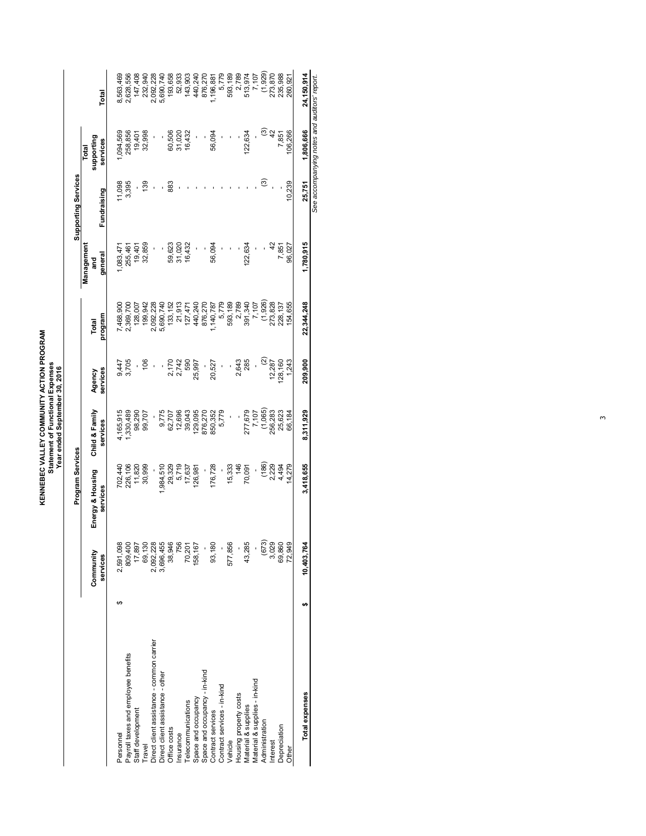KENNEBEC VALLEY COMMUNITY ACTION PROGRAM<br>Statement of Functional Expenses<br>Year ended September 30, 2016 **KENNEBEC VALLEY COMMUNITY ACTION PROGRAM Statement of Functional Expenses Year ended September 30, 2016**

|                                               |     |                       | Program Services             |                            |                    |                  |                     | Supporting Services |                                              |                    |
|-----------------------------------------------|-----|-----------------------|------------------------------|----------------------------|--------------------|------------------|---------------------|---------------------|----------------------------------------------|--------------------|
|                                               |     |                       |                              |                            |                    |                  | Management          |                     | Total                                        |                    |
|                                               |     | Community<br>services | Energy & Housing<br>services | Child & Family<br>services | services<br>Agency | program<br>Total | general<br>and<br>5 | Fundraising         | supporting<br>services                       | Total              |
| Personnel                                     |     | 2,591,098             |                              | ,165,915                   |                    | ,468,900         | ,083,47             | 11,098              | ,094,569                                     | 8,563,469          |
| Payroll taxes and employee benefits           |     | 809,400               | 702,440<br>226,106           | ,330,489                   | 9,447<br>3,705     | 2,369,700        | 255,461             | 3,395               | 258,856                                      | 2,628,556          |
| Staff development                             |     | 17,897                | 11,820                       | 98,290                     |                    | 128,007          | 19,401              |                     | 19,401                                       | 147,408            |
| Travel                                        |     | 69,130                | 30,999                       | 99,707                     | 106                | 199,942          | 32,859              | 139                 | 32,998                                       | 232,940            |
| Direct client assistance - common carrier     |     | 2,092,228             |                              |                            |                    | 2,092,228        |                     |                     |                                              | 2,092,228          |
| Direct client assistance - other              |     | 3,696,455             | ,984,510                     | 9,775                      |                    | 5,690,740        |                     |                     |                                              | 5,690,740          |
| Office costs                                  |     | 38,946                | 29,329                       | 62,707<br>12,696           |                    | 133,152          |                     | 883                 | 60,506                                       | 193,658            |
| Insurance                                     |     | 756                   | 5,719                        |                            | 2,170<br>2,742     | 21,913           | 59,623<br>31,020    |                     | 31,020                                       | 52,933             |
| Telecommunications                            |     | 70,201                | 17,637                       | 39,043                     | 590                | 127,471          | 16,432              |                     | 16,432                                       | 143,903            |
| Space and occupancy                           |     | 158, 167              | 126,981                      | 29,095                     | 25,997             | 440,240          |                     |                     |                                              | 440,240            |
| Space and occupancy - in-kind                 |     |                       |                              | 876,270                    | ľ                  | 876,270          |                     |                     |                                              | 876,270            |
| Contract services                             |     | 93,180                | 176,728                      | 850,352                    | 20,527             | 1,140,787        | 56,094              |                     | 56,094                                       | 1,196,881          |
| Contract services - in-kind                   |     |                       |                              | 5,779                      | ľ                  | 5,779            |                     |                     |                                              | 5,779              |
| Vehicle                                       |     | 577,856               | 15,333                       | I                          |                    | 593,189          |                     |                     |                                              | 593,189            |
|                                               |     |                       | 146                          |                            | 2,643              | 2,789            |                     |                     |                                              | 2,789              |
| Housing property costs<br>Material & supplies |     | 43,285                | 70,091                       | 277,679                    | 285                | 391,340          | 122,634             |                     | 122,634                                      | 513,974            |
| Material & supplies - in-kind                 |     |                       |                              | 7,107                      |                    | 7,107            |                     |                     |                                              | 7,107              |
| Administration                                |     | (673)                 | (186)                        | (1,065)                    | $\mathfrak{D}$     | (1,926)          |                     | ල                   |                                              | (1,929)            |
| Interest                                      |     | 3,029                 | 2,229                        | 256,283                    | 12,287             | 273,828          | $\frac{2}{3}$       |                     | $\widehat{c}$ a                              |                    |
| Depreciation                                  |     | 69,860                | 4,494                        | 25,623                     | 28,160             | 228,137          | 7,851               |                     | 7,851                                        | 273,870<br>235,988 |
| Other                                         |     | 72,949                | 4,279                        | 66,184                     | 1,243              | 54,655           | 96,027              | 10,239              | 106,266                                      | 260,921            |
| Total expenses                                | tA) | 10,403,764            | 3,418,655                    | 8,311,929                  | 209,900            | 22,344,248       | 1,780,915           | 25,751              | 1,806,666                                    | 24,150,914         |
|                                               |     |                       |                              |                            |                    |                  |                     |                     | See accompanying notes and auditors' report. |                    |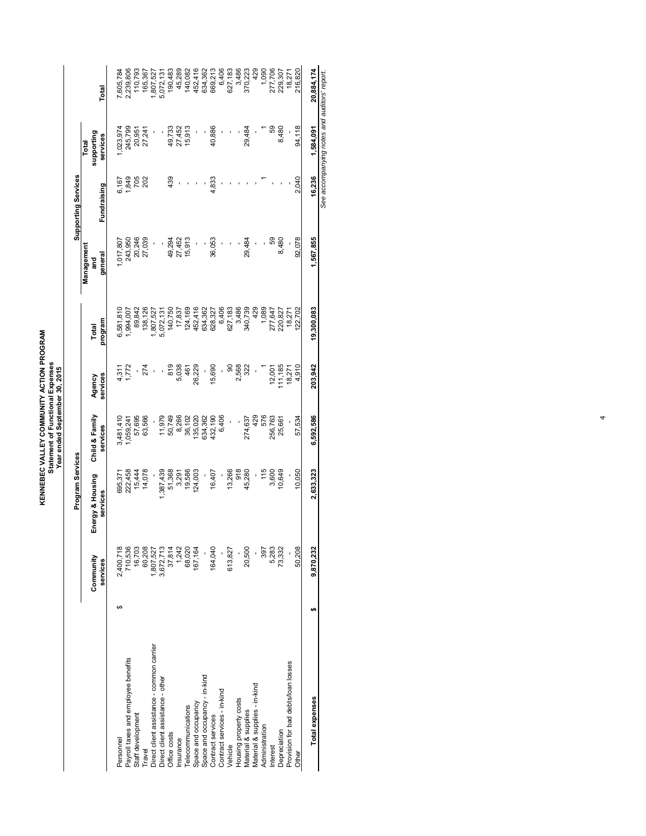KENNEBEC VALLEY COMMUNITY ACTION PROGRAM<br>Statement of Functional Expenses<br>Year ended September 30, 2015 **KENNEBEC VALLEY COMMUNITY ACTION PROGRAM Statement of Functional Expenses Year ended September 30, 2015**

|                                           |    |                 | Program Services |                |                |            |            | <b>Supporting Services</b> |            |                                              |
|-------------------------------------------|----|-----------------|------------------|----------------|----------------|------------|------------|----------------------------|------------|----------------------------------------------|
|                                           |    |                 |                  |                |                |            | Management |                            | Total      |                                              |
|                                           |    | Community       | Energy & Housing | Child & Family | Agency         | Total      | ត្ត        |                            | supporting |                                              |
|                                           |    | services        | services         | services       | services       | program    | general    | Fundraising                | services   | Total                                        |
| Personnel                                 | ↮  | 2,400,718       | 695,37           | 3,481,410      |                | 6,581,810  | 1,017,807  | 6,167                      | 1,023,974  | 7,605,784                                    |
| Payroll taxes and employee benefits       |    | 710,536         | 222,458          | 1,059,241      | 4,311<br>1,772 | 1,994,007  | 243,950    | 1,849                      | 245,799    | 2,239,806                                    |
| Staff development                         |    | 16,703          | 15,444           | 57,695         |                | 89,842     | 20,246     | 705                        | 20,951     | 110,793                                      |
| <b>Travel</b>                             |    | 60,208          | 14,078           | 63,566         | 274            | 138,126    | 27,039     | 202                        | 27,241     | 165,367                                      |
| Direct client assistance - common carrier |    | ,807,527        |                  |                | ł              | ,807,527   |            |                            | ı          | ,807,527                                     |
| Direct dient assistance - other           |    | 3,672,713       | ,387,439         | 11,979         |                | 5,072,131  | ı          |                            | ı          | 5,072,131                                    |
| Office costs                              |    |                 | 51,368           | 50,749         | 819            | 140,750    | 49,294     | 439                        | 49,733     | 190,483                                      |
| nsurance                                  |    | 37,814<br>1,242 | 3,291            | 8,266          | 5,038          | 17,837     | 27,452     |                            | 27,452     | 45,289                                       |
| <b>Felecommunications</b>                 |    | 68,020          | 19,586           | 36,102         | 461            | 124,169    | 15,913     |                            | 15,913     | 140,082                                      |
| Space and occupancy                       |    | 167,164         | 124,003          | 135,020        | 26,229         | 452,416    |            |                            | ł,         | 452,416                                      |
| Space and occupancy - in-kind             |    |                 |                  | 634,362        |                | 634,362    |            | ı                          | ı          | 634,362                                      |
| Contract services                         |    | 164,040         | 16,407           | 432,190        | 15,690         | 628,327    | 36,053     | 4,833                      | 40,886     | 669,213                                      |
| Contract services - in-kind               |    |                 |                  | 6,406          | ı              | 6,406      |            |                            |            | 6,406                                        |
| Vehicle                                   |    | 613,827         | 13,266           | ı              | $\frac{8}{2}$  | 627,183    |            |                            |            | 627,183                                      |
| Housing property costs                    |    |                 | 918              |                | 2,568          | 3,486      |            |                            |            | 3,486                                        |
| Material & supplies                       |    | 20,500          | 45,280           | 274,637        | 322            | 340,739    | 29,484     |                            | 29,484     | 370,223                                      |
| Material & supplies - in-kind             |    |                 |                  | 429            |                | 429        |            |                            |            | 429                                          |
| Administration                            |    | 397             | 115              | 576            |                | 1,089      |            |                            |            | 1,090                                        |
| Interest                                  |    | 5,283           | 3,600            | 256,763        | 12,001         | 277,647    | င္ပာ       |                            | 59         | 277,706                                      |
| Depreciation                              |    | 73,332          | 10,649           | 25,661         | 111,185        | 220,827    | 8,480      |                            | 8,480      | 229,307                                      |
| Provision for bad debts/loan losses       |    |                 |                  |                | 18,271         | 18,271     |            |                            |            | 18,271                                       |
| Other                                     |    | 50,208          | 10,050           | 57,534         | 4,910          | 22,702     | 92,078     | 2,040                      | 94,118     | 216,820                                      |
| Total expenses                            | tA | 9,870,232       | 2,633,323        | 6,592,586      | 203,942        | 19,300,083 | 1,567,855  | 16,236                     | 1,584,091  | 20,884,174                                   |
|                                           |    |                 |                  |                |                |            |            |                            |            | See accompanying notes and auditors' report. |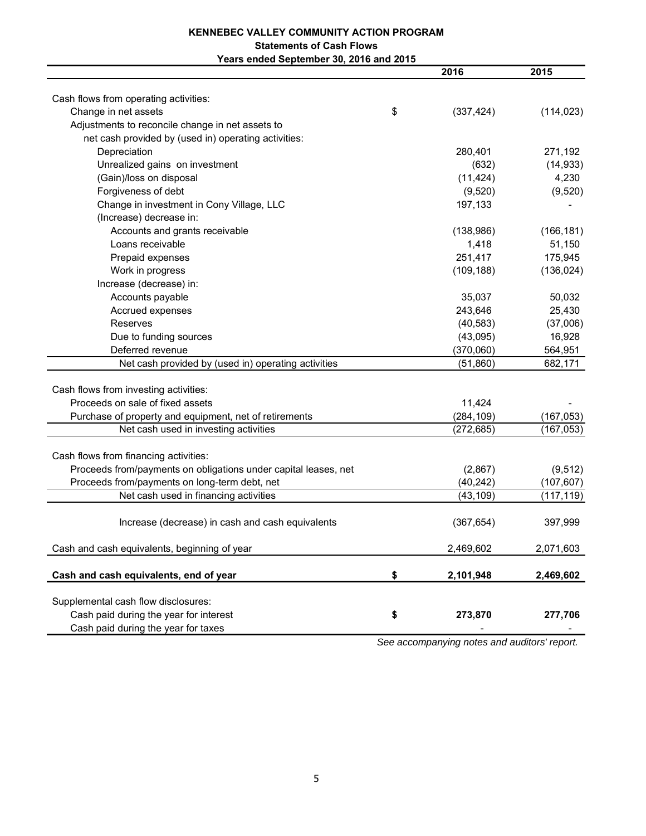#### **KENNEBEC VALLEY COMMUNITY ACTION PROGRAM Statements of Cash Flows Years ended September 30, 2016 and 2015**

|                                                                 | 2016             | 2015       |
|-----------------------------------------------------------------|------------------|------------|
|                                                                 |                  |            |
| Cash flows from operating activities:                           |                  |            |
| Change in net assets                                            | \$<br>(337, 424) | (114, 023) |
| Adjustments to reconcile change in net assets to                |                  |            |
| net cash provided by (used in) operating activities:            |                  |            |
| Depreciation                                                    | 280,401          | 271,192    |
| Unrealized gains on investment                                  | (632)            | (14, 933)  |
| (Gain)/loss on disposal                                         | (11, 424)        | 4,230      |
| Forgiveness of debt                                             | (9,520)          | (9,520)    |
| Change in investment in Cony Village, LLC                       | 197,133          |            |
| (Increase) decrease in:                                         |                  |            |
| Accounts and grants receivable                                  | (138,986)        | (166, 181) |
| Loans receivable                                                | 1,418            | 51,150     |
| Prepaid expenses                                                | 251,417          | 175,945    |
| Work in progress                                                | (109, 188)       | (136, 024) |
| Increase (decrease) in:                                         |                  |            |
| Accounts payable                                                | 35,037           | 50,032     |
| Accrued expenses                                                | 243,646          | 25,430     |
| Reserves                                                        | (40, 583)        | (37,006)   |
| Due to funding sources                                          | (43,095)         | 16,928     |
| Deferred revenue                                                | (370,060)        | 564,951    |
| Net cash provided by (used in) operating activities             | (51, 860)        | 682,171    |
|                                                                 |                  |            |
| Cash flows from investing activities:                           |                  |            |
| Proceeds on sale of fixed assets                                | 11,424           |            |
| Purchase of property and equipment, net of retirements          | (284, 109)       | (167, 053) |
| Net cash used in investing activities                           | (272, 685)       | (167, 053) |
|                                                                 |                  |            |
| Cash flows from financing activities:                           |                  |            |
| Proceeds from/payments on obligations under capital leases, net | (2,867)          | (9, 512)   |
| Proceeds from/payments on long-term debt, net                   | (40, 242)        | (107, 607) |
| Net cash used in financing activities                           | (43, 109)        | (117, 119) |
|                                                                 |                  |            |
| Increase (decrease) in cash and cash equivalents                | (367, 654)       | 397,999    |
|                                                                 |                  |            |
| Cash and cash equivalents, beginning of year                    | 2,469,602        | 2,071,603  |
| Cash and cash equivalents, end of year                          | \$<br>2,101,948  | 2,469,602  |
|                                                                 |                  |            |
| Supplemental cash flow disclosures:                             |                  |            |
| Cash paid during the year for interest                          | \$<br>273,870    | 277,706    |
| Cash paid during the year for taxes                             |                  |            |

*See accompanying notes and auditors' report.*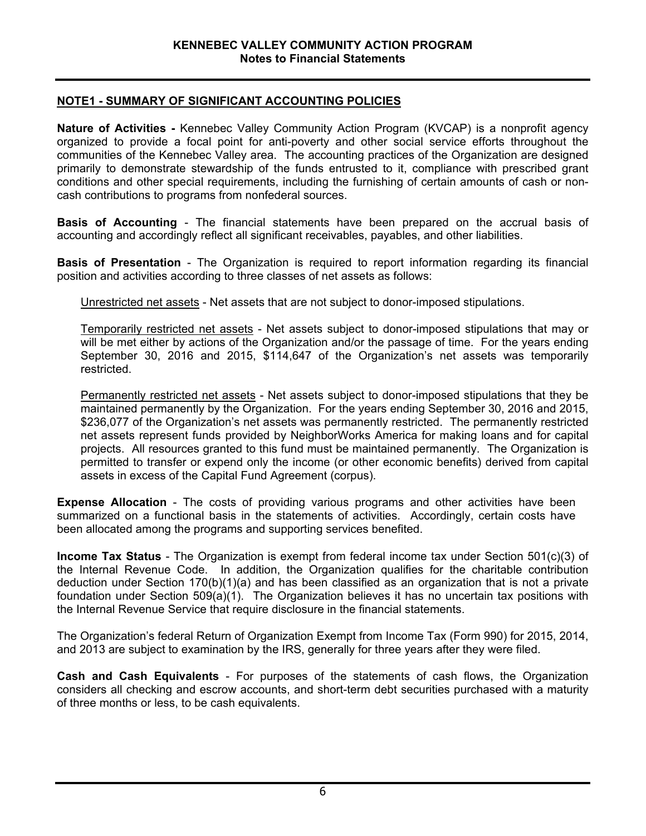## **NOTE1 - SUMMARY OF SIGNIFICANT ACCOUNTING POLICIES**

**Nature of Activities -** Kennebec Valley Community Action Program (KVCAP) is a nonprofit agency organized to provide a focal point for anti-poverty and other social service efforts throughout the communities of the Kennebec Valley area. The accounting practices of the Organization are designed primarily to demonstrate stewardship of the funds entrusted to it, compliance with prescribed grant conditions and other special requirements, including the furnishing of certain amounts of cash or noncash contributions to programs from nonfederal sources.

**Basis of Accounting** - The financial statements have been prepared on the accrual basis of accounting and accordingly reflect all significant receivables, payables, and other liabilities.

**Basis of Presentation** - The Organization is required to report information regarding its financial position and activities according to three classes of net assets as follows:

Unrestricted net assets - Net assets that are not subject to donor-imposed stipulations.

 Temporarily restricted net assets - Net assets subject to donor-imposed stipulations that may or will be met either by actions of the Organization and/or the passage of time. For the years ending September 30, 2016 and 2015, \$114,647 of the Organization's net assets was temporarily restricted.

 Permanently restricted net assets - Net assets subject to donor-imposed stipulations that they be maintained permanently by the Organization. For the years ending September 30, 2016 and 2015, \$236,077 of the Organization's net assets was permanently restricted. The permanently restricted net assets represent funds provided by NeighborWorks America for making loans and for capital projects. All resources granted to this fund must be maintained permanently. The Organization is permitted to transfer or expend only the income (or other economic benefits) derived from capital assets in excess of the Capital Fund Agreement (corpus).

**Expense Allocation** - The costs of providing various programs and other activities have been summarized on a functional basis in the statements of activities. Accordingly, certain costs have been allocated among the programs and supporting services benefited.

**Income Tax Status** - The Organization is exempt from federal income tax under Section 501(c)(3) of the Internal Revenue Code. In addition, the Organization qualifies for the charitable contribution deduction under Section 170(b)(1)(a) and has been classified as an organization that is not a private foundation under Section 509(a)(1). The Organization believes it has no uncertain tax positions with the Internal Revenue Service that require disclosure in the financial statements.

The Organization's federal Return of Organization Exempt from Income Tax (Form 990) for 2015, 2014, and 2013 are subject to examination by the IRS, generally for three years after they were filed.

**Cash and Cash Equivalents** - For purposes of the statements of cash flows, the Organization considers all checking and escrow accounts, and short-term debt securities purchased with a maturity of three months or less, to be cash equivalents.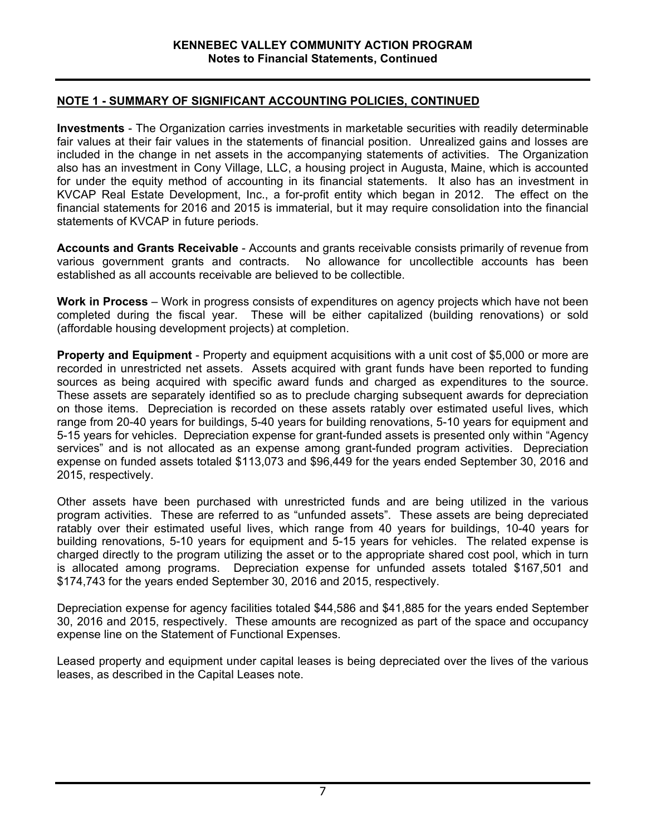## **NOTE 1 - SUMMARY OF SIGNIFICANT ACCOUNTING POLICIES, CONTINUED**

**Investments** - The Organization carries investments in marketable securities with readily determinable fair values at their fair values in the statements of financial position. Unrealized gains and losses are included in the change in net assets in the accompanying statements of activities. The Organization also has an investment in Cony Village, LLC, a housing project in Augusta, Maine, which is accounted for under the equity method of accounting in its financial statements. It also has an investment in KVCAP Real Estate Development, Inc., a for-profit entity which began in 2012. The effect on the financial statements for 2016 and 2015 is immaterial, but it may require consolidation into the financial statements of KVCAP in future periods.

**Accounts and Grants Receivable** - Accounts and grants receivable consists primarily of revenue from various government grants and contracts. No allowance for uncollectible accounts has been established as all accounts receivable are believed to be collectible.

**Work in Process** – Work in progress consists of expenditures on agency projects which have not been completed during the fiscal year. These will be either capitalized (building renovations) or sold (affordable housing development projects) at completion.

**Property and Equipment** - Property and equipment acquisitions with a unit cost of \$5,000 or more are recorded in unrestricted net assets. Assets acquired with grant funds have been reported to funding sources as being acquired with specific award funds and charged as expenditures to the source. These assets are separately identified so as to preclude charging subsequent awards for depreciation on those items. Depreciation is recorded on these assets ratably over estimated useful lives, which range from 20-40 years for buildings, 5-40 years for building renovations, 5-10 years for equipment and 5-15 years for vehicles. Depreciation expense for grant-funded assets is presented only within "Agency services" and is not allocated as an expense among grant-funded program activities. Depreciation expense on funded assets totaled \$113,073 and \$96,449 for the years ended September 30, 2016 and 2015, respectively.

Other assets have been purchased with unrestricted funds and are being utilized in the various program activities. These are referred to as "unfunded assets". These assets are being depreciated ratably over their estimated useful lives, which range from 40 years for buildings, 10-40 years for building renovations, 5-10 years for equipment and 5-15 years for vehicles. The related expense is charged directly to the program utilizing the asset or to the appropriate shared cost pool, which in turn is allocated among programs. Depreciation expense for unfunded assets totaled \$167,501 and \$174,743 for the years ended September 30, 2016 and 2015, respectively.

Depreciation expense for agency facilities totaled \$44,586 and \$41,885 for the years ended September 30, 2016 and 2015, respectively. These amounts are recognized as part of the space and occupancy expense line on the Statement of Functional Expenses.

Leased property and equipment under capital leases is being depreciated over the lives of the various leases, as described in the Capital Leases note.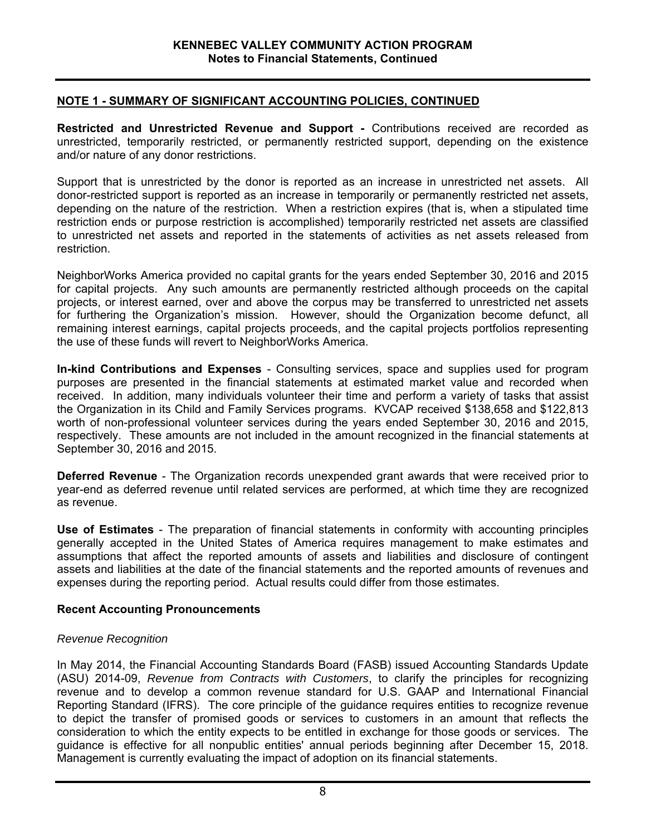## **NOTE 1 - SUMMARY OF SIGNIFICANT ACCOUNTING POLICIES, CONTINUED**

**Restricted and Unrestricted Revenue and Support -** Contributions received are recorded as unrestricted, temporarily restricted, or permanently restricted support, depending on the existence and/or nature of any donor restrictions.

Support that is unrestricted by the donor is reported as an increase in unrestricted net assets. All donor-restricted support is reported as an increase in temporarily or permanently restricted net assets, depending on the nature of the restriction. When a restriction expires (that is, when a stipulated time restriction ends or purpose restriction is accomplished) temporarily restricted net assets are classified to unrestricted net assets and reported in the statements of activities as net assets released from restriction.

NeighborWorks America provided no capital grants for the years ended September 30, 2016 and 2015 for capital projects. Any such amounts are permanently restricted although proceeds on the capital projects, or interest earned, over and above the corpus may be transferred to unrestricted net assets for furthering the Organization's mission. However, should the Organization become defunct, all remaining interest earnings, capital projects proceeds, and the capital projects portfolios representing the use of these funds will revert to NeighborWorks America.

**In-kind Contributions and Expenses** - Consulting services, space and supplies used for program purposes are presented in the financial statements at estimated market value and recorded when received. In addition, many individuals volunteer their time and perform a variety of tasks that assist the Organization in its Child and Family Services programs. KVCAP received \$138,658 and \$122,813 worth of non-professional volunteer services during the years ended September 30, 2016 and 2015, respectively. These amounts are not included in the amount recognized in the financial statements at September 30, 2016 and 2015.

**Deferred Revenue** - The Organization records unexpended grant awards that were received prior to year-end as deferred revenue until related services are performed, at which time they are recognized as revenue.

**Use of Estimates** - The preparation of financial statements in conformity with accounting principles generally accepted in the United States of America requires management to make estimates and assumptions that affect the reported amounts of assets and liabilities and disclosure of contingent assets and liabilities at the date of the financial statements and the reported amounts of revenues and expenses during the reporting period. Actual results could differ from those estimates.

#### **Recent Accounting Pronouncements**

#### *Revenue Recognition*

In May 2014, the Financial Accounting Standards Board (FASB) issued Accounting Standards Update (ASU) 2014-09, *Revenue from Contracts with Customers*, to clarify the principles for recognizing revenue and to develop a common revenue standard for U.S. GAAP and International Financial Reporting Standard (IFRS). The core principle of the guidance requires entities to recognize revenue to depict the transfer of promised goods or services to customers in an amount that reflects the consideration to which the entity expects to be entitled in exchange for those goods or services. The guidance is effective for all nonpublic entities' annual periods beginning after December 15, 2018. Management is currently evaluating the impact of adoption on its financial statements.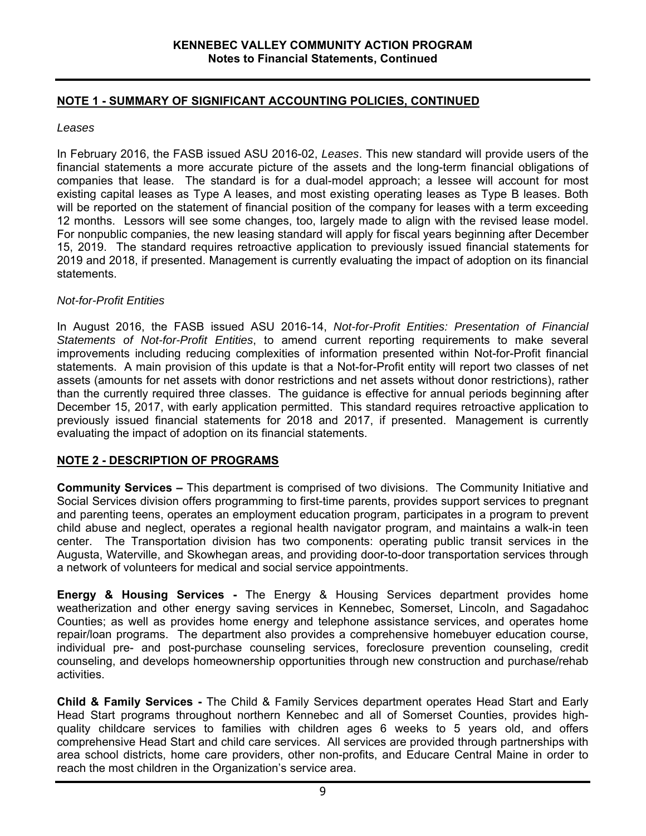# **NOTE 1 - SUMMARY OF SIGNIFICANT ACCOUNTING POLICIES, CONTINUED**

## *Leases*

In February 2016, the FASB issued ASU 2016-02, *Leases*. This new standard will provide users of the financial statements a more accurate picture of the assets and the long-term financial obligations of companies that lease. The standard is for a dual-model approach; a lessee will account for most existing capital leases as Type A leases, and most existing operating leases as Type B leases. Both will be reported on the statement of financial position of the company for leases with a term exceeding 12 months. Lessors will see some changes, too, largely made to align with the revised lease model. For nonpublic companies, the new leasing standard will apply for fiscal years beginning after December 15, 2019. The standard requires retroactive application to previously issued financial statements for 2019 and 2018, if presented. Management is currently evaluating the impact of adoption on its financial statements.

## *Not-for-Profit Entities*

In August 2016, the FASB issued ASU 2016-14, *Not-for-Profit Entities: Presentation of Financial Statements of Not-for-Profit Entities*, to amend current reporting requirements to make several improvements including reducing complexities of information presented within Not-for-Profit financial statements. A main provision of this update is that a Not-for-Profit entity will report two classes of net assets (amounts for net assets with donor restrictions and net assets without donor restrictions), rather than the currently required three classes. The guidance is effective for annual periods beginning after December 15, 2017, with early application permitted. This standard requires retroactive application to previously issued financial statements for 2018 and 2017, if presented. Management is currently evaluating the impact of adoption on its financial statements.

## **NOTE 2 - DESCRIPTION OF PROGRAMS**

**Community Services –** This department is comprised of two divisions. The Community Initiative and Social Services division offers programming to first-time parents, provides support services to pregnant and parenting teens, operates an employment education program, participates in a program to prevent child abuse and neglect, operates a regional health navigator program, and maintains a walk-in teen center. The Transportation division has two components: operating public transit services in the Augusta, Waterville, and Skowhegan areas, and providing door-to-door transportation services through a network of volunteers for medical and social service appointments.

**Energy & Housing Services -** The Energy & Housing Services department provides home weatherization and other energy saving services in Kennebec, Somerset, Lincoln, and Sagadahoc Counties; as well as provides home energy and telephone assistance services, and operates home repair/loan programs. The department also provides a comprehensive homebuyer education course, individual pre- and post-purchase counseling services, foreclosure prevention counseling, credit counseling, and develops homeownership opportunities through new construction and purchase/rehab activities.

**Child & Family Services -** The Child & Family Services department operates Head Start and Early Head Start programs throughout northern Kennebec and all of Somerset Counties, provides highquality childcare services to families with children ages 6 weeks to 5 years old, and offers comprehensive Head Start and child care services. All services are provided through partnerships with area school districts, home care providers, other non-profits, and Educare Central Maine in order to reach the most children in the Organization's service area.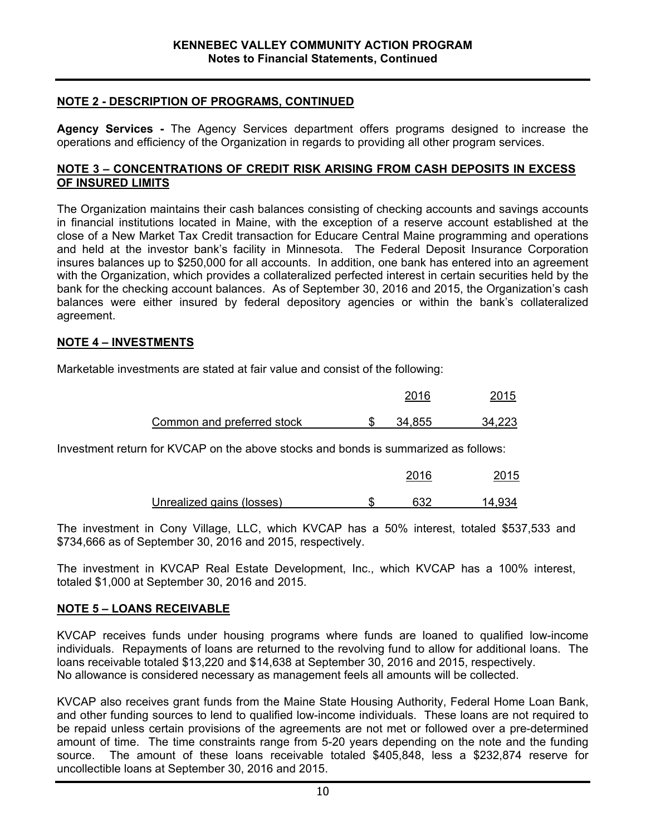## **NOTE 2 - DESCRIPTION OF PROGRAMS, CONTINUED**

**Agency Services -** The Agency Services department offers programs designed to increase the operations and efficiency of the Organization in regards to providing all other program services.

#### **NOTE 3 – CONCENTRATIONS OF CREDIT RISK ARISING FROM CASH DEPOSITS IN EXCESS OF INSURED LIMITS**

The Organization maintains their cash balances consisting of checking accounts and savings accounts in financial institutions located in Maine, with the exception of a reserve account established at the close of a New Market Tax Credit transaction for Educare Central Maine programming and operations and held at the investor bank's facility in Minnesota. The Federal Deposit Insurance Corporation insures balances up to \$250,000 for all accounts. In addition, one bank has entered into an agreement with the Organization, which provides a collateralized perfected interest in certain securities held by the bank for the checking account balances. As of September 30, 2016 and 2015, the Organization's cash balances were either insured by federal depository agencies or within the bank's collateralized agreement.

#### **NOTE 4 – INVESTMENTS**

Marketable investments are stated at fair value and consist of the following:

|                            | 2016   | 2015   |
|----------------------------|--------|--------|
| Common and preferred stock | 34.855 | 34,223 |

Investment return for KVCAP on the above stocks and bonds is summarized as follows:

|                           | 2016  | 2015   |
|---------------------------|-------|--------|
| Unrealized gains (losses) | ิ 632 | 14.934 |

The investment in Cony Village, LLC, which KVCAP has a 50% interest, totaled \$537,533 and \$734,666 as of September 30, 2016 and 2015, respectively.

The investment in KVCAP Real Estate Development, Inc., which KVCAP has a 100% interest, totaled \$1,000 at September 30, 2016 and 2015.

#### **NOTE 5 – LOANS RECEIVABLE**

KVCAP receives funds under housing programs where funds are loaned to qualified low-income individuals. Repayments of loans are returned to the revolving fund to allow for additional loans. The loans receivable totaled \$13,220 and \$14,638 at September 30, 2016 and 2015, respectively. No allowance is considered necessary as management feels all amounts will be collected.

KVCAP also receives grant funds from the Maine State Housing Authority, Federal Home Loan Bank, and other funding sources to lend to qualified low-income individuals. These loans are not required to be repaid unless certain provisions of the agreements are not met or followed over a pre-determined amount of time. The time constraints range from 5-20 years depending on the note and the funding source. The amount of these loans receivable totaled \$405,848, less a \$232,874 reserve for uncollectible loans at September 30, 2016 and 2015.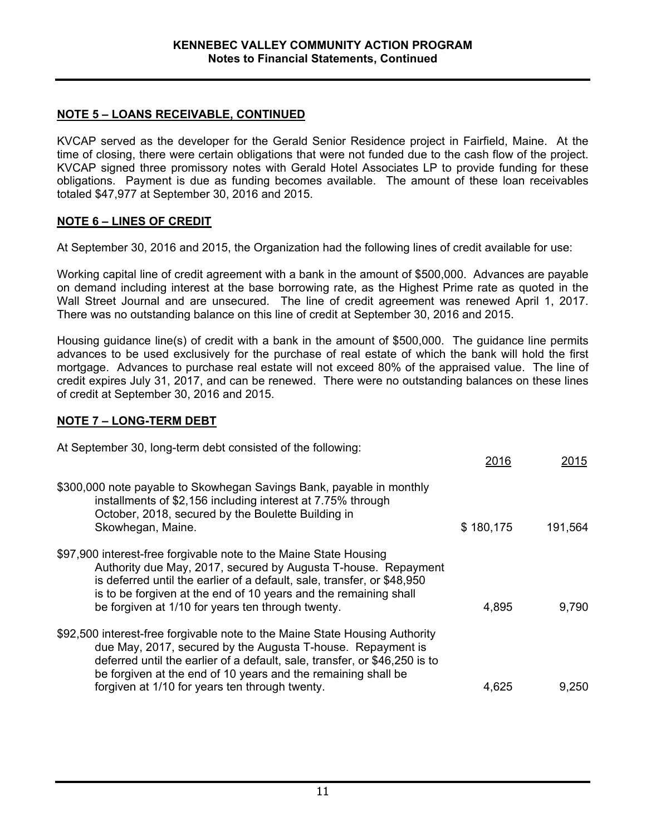## **NOTE 5 – LOANS RECEIVABLE, CONTINUED**

KVCAP served as the developer for the Gerald Senior Residence project in Fairfield, Maine. At the time of closing, there were certain obligations that were not funded due to the cash flow of the project. KVCAP signed three promissory notes with Gerald Hotel Associates LP to provide funding for these obligations. Payment is due as funding becomes available. The amount of these loan receivables totaled \$47,977 at September 30, 2016 and 2015.

# **NOTE 6 – LINES OF CREDIT**

At September 30, 2016 and 2015, the Organization had the following lines of credit available for use:

Working capital line of credit agreement with a bank in the amount of \$500,000. Advances are payable on demand including interest at the base borrowing rate, as the Highest Prime rate as quoted in the Wall Street Journal and are unsecured. The line of credit agreement was renewed April 1, 2017. There was no outstanding balance on this line of credit at September 30, 2016 and 2015.

Housing guidance line(s) of credit with a bank in the amount of \$500,000. The guidance line permits advances to be used exclusively for the purchase of real estate of which the bank will hold the first mortgage. Advances to purchase real estate will not exceed 80% of the appraised value. The line of credit expires July 31, 2017, and can be renewed. There were no outstanding balances on these lines of credit at September 30, 2016 and 2015.

## **NOTE 7 – LONG-TERM DEBT**

| At September 30, long-term debt consisted of the following:                                                                                                                                                                                                                                                                                 | 2016      | <u> 2015</u> |
|---------------------------------------------------------------------------------------------------------------------------------------------------------------------------------------------------------------------------------------------------------------------------------------------------------------------------------------------|-----------|--------------|
| \$300,000 note payable to Skowhegan Savings Bank, payable in monthly<br>installments of \$2,156 including interest at 7.75% through<br>October, 2018, secured by the Boulette Building in<br>Skowhegan, Maine.                                                                                                                              | \$180,175 | 191,564      |
| \$97,900 interest-free forgivable note to the Maine State Housing<br>Authority due May, 2017, secured by Augusta T-house. Repayment<br>is deferred until the earlier of a default, sale, transfer, or \$48,950<br>is to be forgiven at the end of 10 years and the remaining shall<br>be forgiven at 1/10 for years ten through twenty.     | 4,895     | 9,790        |
| \$92,500 interest-free forgivable note to the Maine State Housing Authority<br>due May, 2017, secured by the Augusta T-house. Repayment is<br>deferred until the earlier of a default, sale, transfer, or \$46,250 is to<br>be forgiven at the end of 10 years and the remaining shall be<br>forgiven at 1/10 for years ten through twenty. | 4,625     | 9,250        |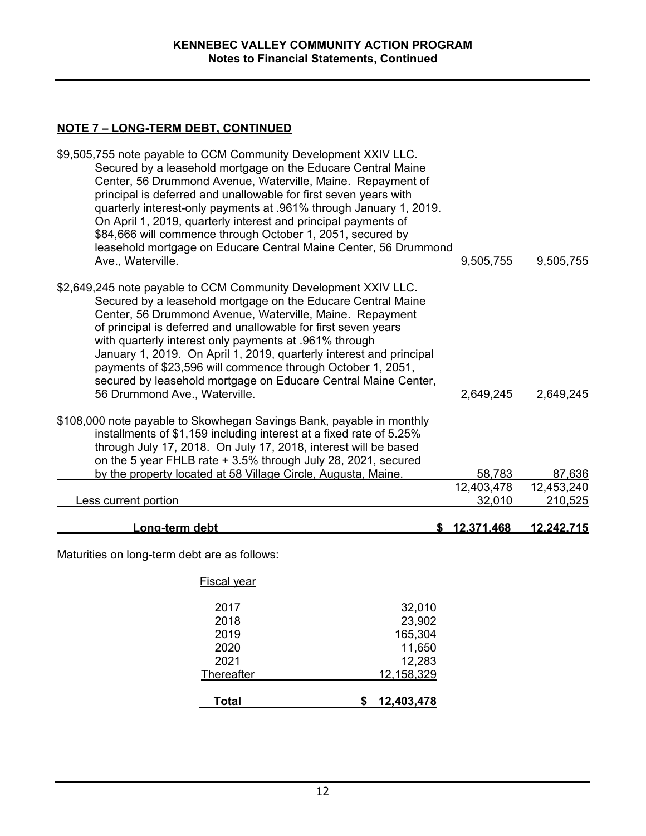## **NOTE 7 – LONG-TERM DEBT, CONTINUED**

| \$9,505,755 note payable to CCM Community Development XXIV LLC.<br>Secured by a leasehold mortgage on the Educare Central Maine<br>Center, 56 Drummond Avenue, Waterville, Maine. Repayment of<br>principal is deferred and unallowable for first seven years with<br>quarterly interest-only payments at .961% through January 1, 2019.<br>On April 1, 2019, quarterly interest and principal payments of<br>\$84,666 will commence through October 1, 2051, secured by<br>leasehold mortgage on Educare Central Maine Center, 56 Drummond                      |        |            |                   |
|------------------------------------------------------------------------------------------------------------------------------------------------------------------------------------------------------------------------------------------------------------------------------------------------------------------------------------------------------------------------------------------------------------------------------------------------------------------------------------------------------------------------------------------------------------------|--------|------------|-------------------|
| Ave., Waterville.                                                                                                                                                                                                                                                                                                                                                                                                                                                                                                                                                |        | 9,505,755  | 9,505,755         |
| \$2,649,245 note payable to CCM Community Development XXIV LLC.<br>Secured by a leasehold mortgage on the Educare Central Maine<br>Center, 56 Drummond Avenue, Waterville, Maine. Repayment<br>of principal is deferred and unallowable for first seven years<br>with quarterly interest only payments at .961% through<br>January 1, 2019. On April 1, 2019, quarterly interest and principal<br>payments of \$23,596 will commence through October 1, 2051,<br>secured by leasehold mortgage on Educare Central Maine Center,<br>56 Drummond Ave., Waterville. |        | 2,649,245  | 2,649,245         |
| \$108,000 note payable to Skowhegan Savings Bank, payable in monthly<br>installments of \$1,159 including interest at a fixed rate of 5.25%<br>through July 17, 2018. On July 17, 2018, interest will be based<br>on the 5 year FHLB rate + 3.5% through July 28, 2021, secured                                                                                                                                                                                                                                                                                  |        |            |                   |
| by the property located at 58 Village Circle, Augusta, Maine.                                                                                                                                                                                                                                                                                                                                                                                                                                                                                                    |        | 58,783     | 87,636            |
|                                                                                                                                                                                                                                                                                                                                                                                                                                                                                                                                                                  |        | 12,403,478 | 12,453,240        |
| <b>Less current portion</b>                                                                                                                                                                                                                                                                                                                                                                                                                                                                                                                                      |        | 32,010     | 210,525           |
| Long-term debt                                                                                                                                                                                                                                                                                                                                                                                                                                                                                                                                                   |        | 12,371,468 | <u>12,242,715</u> |
| Maturities on long-term debt are as follows:                                                                                                                                                                                                                                                                                                                                                                                                                                                                                                                     |        |            |                   |
| <b>Fiscal year</b>                                                                                                                                                                                                                                                                                                                                                                                                                                                                                                                                               |        |            |                   |
| 2017<br>32,010<br>2018                                                                                                                                                                                                                                                                                                                                                                                                                                                                                                                                           | 23,902 |            |                   |

 2019 165,304 2020 11,650 12,283<br><u>12,158,329</u> Thereafter 12,158,329 **Total \$ 12,403,478**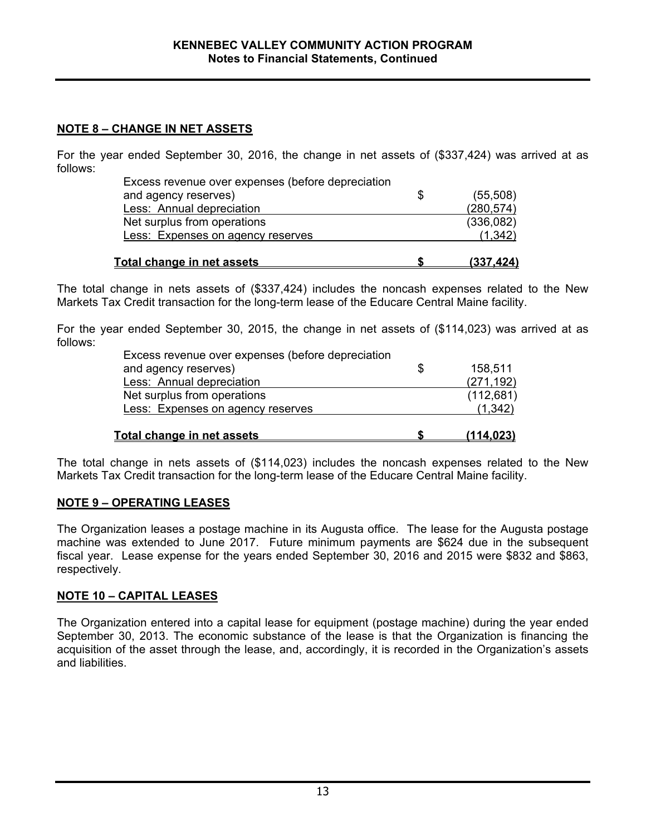## **NOTE 8 – CHANGE IN NET ASSETS**

For the year ended September 30, 2016, the change in net assets of (\$337,424) was arrived at as follows:

| Excess revenue over expenses (before depreciation |                 |
|---------------------------------------------------|-----------------|
| and agency reserves)                              | \$<br>(55, 508) |
| Less: Annual depreciation                         | (280, 574)      |
| Net surplus from operations                       | (336,082)       |
| Less: Expenses on agency reserves                 | (1, 342)        |
| Total change in net assets                        | (337.424)       |

The total change in nets assets of (\$337,424) includes the noncash expenses related to the New Markets Tax Credit transaction for the long-term lease of the Educare Central Maine facility.

For the year ended September 30, 2015, the change in net assets of (\$114,023) was arrived at as follows:

| Excess revenue over expenses (before depreciation |    |            |
|---------------------------------------------------|----|------------|
| and agency reserves)                              | -S | 158,511    |
| Less: Annual depreciation                         |    | (271, 192) |
| Net surplus from operations                       |    | (112, 681) |
| <b>Less: Expenses on agency reserves</b>          |    | (1, 342)   |
| Total change in net assets                        |    | (114.023)  |

The total change in nets assets of (\$114,023) includes the noncash expenses related to the New Markets Tax Credit transaction for the long-term lease of the Educare Central Maine facility.

## **NOTE 9 – OPERATING LEASES**

The Organization leases a postage machine in its Augusta office. The lease for the Augusta postage machine was extended to June 2017. Future minimum payments are \$624 due in the subsequent fiscal year. Lease expense for the years ended September 30, 2016 and 2015 were \$832 and \$863, respectively.

## **NOTE 10 – CAPITAL LEASES**

The Organization entered into a capital lease for equipment (postage machine) during the year ended September 30, 2013. The economic substance of the lease is that the Organization is financing the acquisition of the asset through the lease, and, accordingly, it is recorded in the Organization's assets and liabilities.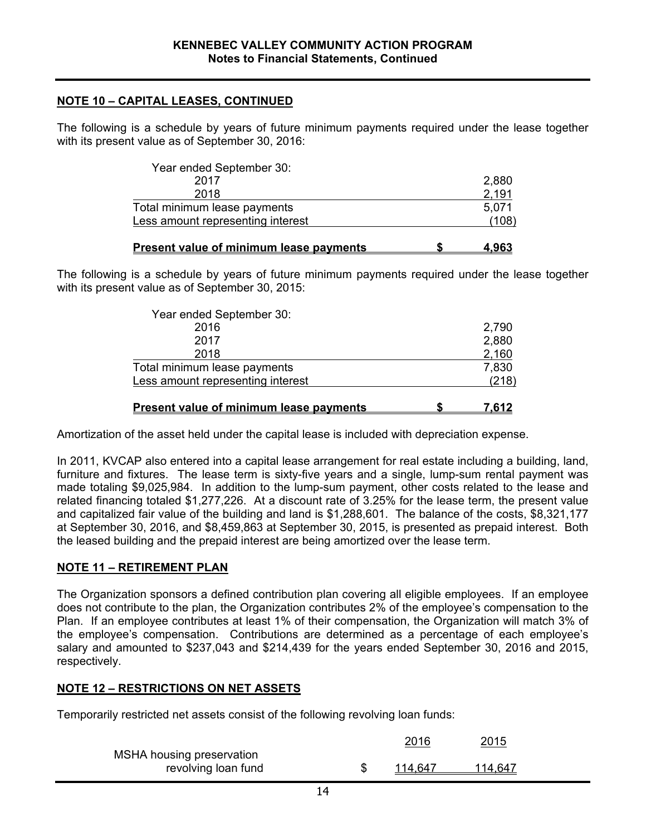## **NOTE 10 – CAPITAL LEASES, CONTINUED**

The following is a schedule by years of future minimum payments required under the lease together with its present value as of September 30, 2016:

| 2,880 |
|-------|
| 2,191 |
| 5.071 |
| (108) |
|       |

|  | Present value of minimum lease payments | 4.963 |
|--|-----------------------------------------|-------|
|--|-----------------------------------------|-------|

The following is a schedule by years of future minimum payments required under the lease together with its present value as of September 30, 2015:

| <b>Present value of minimum lease payments</b> | 7.612 |
|------------------------------------------------|-------|
| Less amount representing interest              | (218) |
| Total minimum lease payments                   | 7,830 |
| 2018                                           | 2,160 |
| 2017                                           | 2,880 |
| 2016                                           | 2,790 |
| Year ended September 30:                       |       |

Amortization of the asset held under the capital lease is included with depreciation expense.

In 2011, KVCAP also entered into a capital lease arrangement for real estate including a building, land, furniture and fixtures. The lease term is sixty-five years and a single, lump-sum rental payment was made totaling \$9,025,984. In addition to the lump-sum payment, other costs related to the lease and related financing totaled \$1,277,226. At a discount rate of 3.25% for the lease term, the present value and capitalized fair value of the building and land is \$1,288,601. The balance of the costs, \$8,321,177 at September 30, 2016, and \$8,459,863 at September 30, 2015, is presented as prepaid interest. Both the leased building and the prepaid interest are being amortized over the lease term.

#### **NOTE 11 – RETIREMENT PLAN**

The Organization sponsors a defined contribution plan covering all eligible employees. If an employee does not contribute to the plan, the Organization contributes 2% of the employee's compensation to the Plan. If an employee contributes at least 1% of their compensation, the Organization will match 3% of the employee's compensation. Contributions are determined as a percentage of each employee's salary and amounted to \$237,043 and \$214,439 for the years ended September 30, 2016 and 2015, respectively.

#### **NOTE 12 – RESTRICTIONS ON NET ASSETS**

Temporarily restricted net assets consist of the following revolving loan funds:

|                           | 2016    | <u>2015</u> |
|---------------------------|---------|-------------|
| MSHA housing preservation |         |             |
| revolving loan fund       | 114.647 | 114,647     |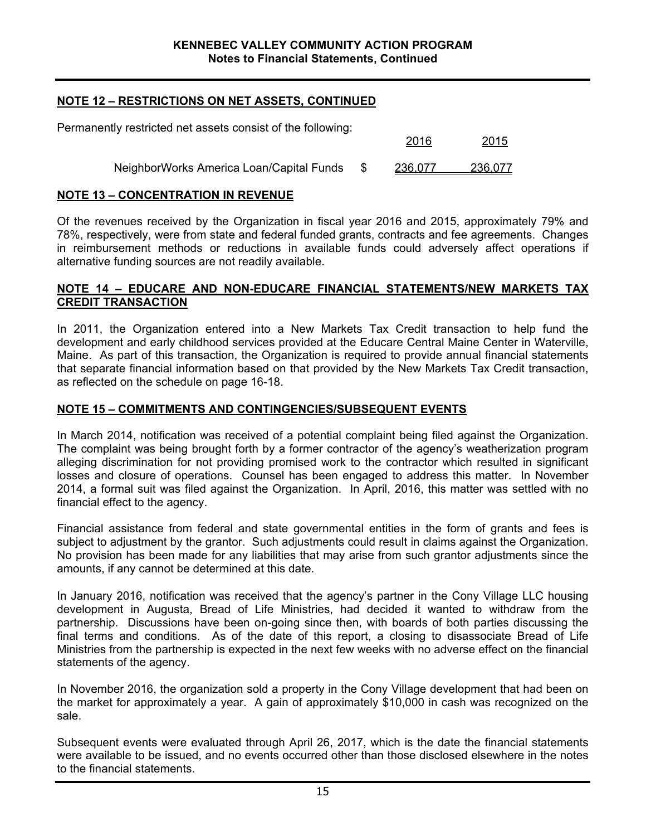## **NOTE 12 – RESTRICTIONS ON NET ASSETS, CONTINUED**

| Permanently restricted net assets consist of the following: |     |         |              |
|-------------------------------------------------------------|-----|---------|--------------|
|                                                             |     | 2016    | <u> 2015</u> |
| NeighborWorks America Loan/Capital Funds                    | -SS | 236,077 | 236,077      |

## **NOTE 13 – CONCENTRATION IN REVENUE**

Of the revenues received by the Organization in fiscal year 2016 and 2015, approximately 79% and 78%, respectively, were from state and federal funded grants, contracts and fee agreements. Changes in reimbursement methods or reductions in available funds could adversely affect operations if alternative funding sources are not readily available.

#### **NOTE 14 – EDUCARE AND NON-EDUCARE FINANCIAL STATEMENTS/NEW MARKETS TAX CREDIT TRANSACTION**

In 2011, the Organization entered into a New Markets Tax Credit transaction to help fund the development and early childhood services provided at the Educare Central Maine Center in Waterville, Maine. As part of this transaction, the Organization is required to provide annual financial statements that separate financial information based on that provided by the New Markets Tax Credit transaction, as reflected on the schedule on page 16-18.

## **NOTE 15 – COMMITMENTS AND CONTINGENCIES/SUBSEQUENT EVENTS**

In March 2014, notification was received of a potential complaint being filed against the Organization. The complaint was being brought forth by a former contractor of the agency's weatherization program alleging discrimination for not providing promised work to the contractor which resulted in significant losses and closure of operations. Counsel has been engaged to address this matter. In November 2014, a formal suit was filed against the Organization. In April, 2016, this matter was settled with no financial effect to the agency.

Financial assistance from federal and state governmental entities in the form of grants and fees is subject to adjustment by the grantor. Such adjustments could result in claims against the Organization. No provision has been made for any liabilities that may arise from such grantor adjustments since the amounts, if any cannot be determined at this date.

In January 2016, notification was received that the agency's partner in the Cony Village LLC housing development in Augusta, Bread of Life Ministries, had decided it wanted to withdraw from the partnership. Discussions have been on-going since then, with boards of both parties discussing the final terms and conditions. As of the date of this report, a closing to disassociate Bread of Life Ministries from the partnership is expected in the next few weeks with no adverse effect on the financial statements of the agency.

In November 2016, the organization sold a property in the Cony Village development that had been on the market for approximately a year. A gain of approximately \$10,000 in cash was recognized on the sale.

Subsequent events were evaluated through April 26, 2017, which is the date the financial statements were available to be issued, and no events occurred other than those disclosed elsewhere in the notes to the financial statements.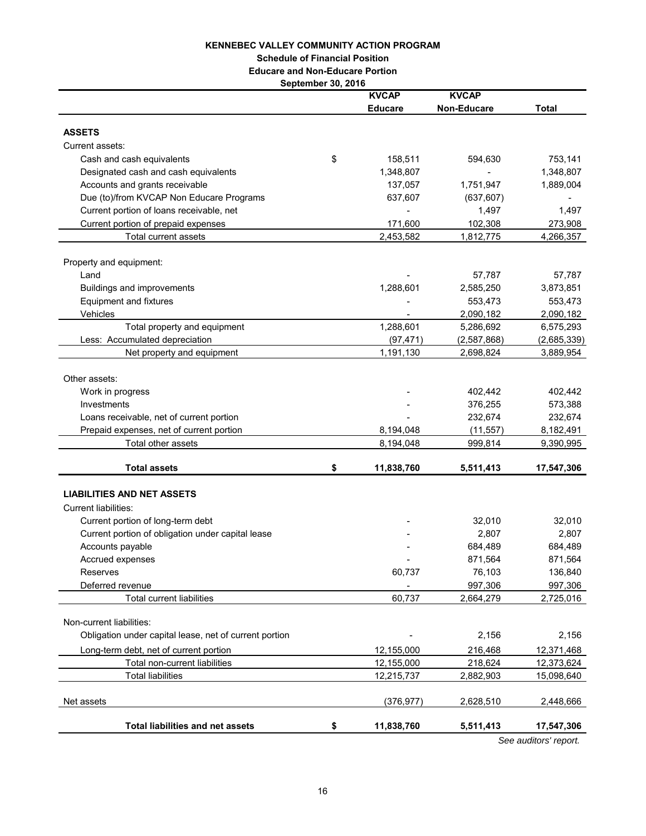#### **KENNEBEC VALLEY COMMUNITY ACTION PROGRAM**

**Schedule of Financial Position**

**Educare and Non-Educare Portion**

**September 30, 2016**

|                                                                                      | <b>KVCAP</b>     | <b>KVCAP</b> |              |
|--------------------------------------------------------------------------------------|------------------|--------------|--------------|
|                                                                                      | <b>Educare</b>   | Non-Educare  | <b>Total</b> |
|                                                                                      |                  |              |              |
| <b>ASSETS</b>                                                                        |                  |              |              |
| Current assets:                                                                      |                  |              |              |
| Cash and cash equivalents                                                            | \$<br>158,511    | 594,630      | 753,141      |
| Designated cash and cash equivalents                                                 | 1,348,807        |              | 1,348,807    |
| Accounts and grants receivable                                                       | 137,057          | 1,751,947    | 1,889,004    |
| Due (to)/from KVCAP Non Educare Programs<br>Current portion of loans receivable, net | 637,607          | (637, 607)   |              |
|                                                                                      |                  | 1,497        | 1,497        |
| Current portion of prepaid expenses                                                  | 171,600          | 102,308      | 273,908      |
| <b>Total current assets</b>                                                          | 2,453,582        | 1,812,775    | 4,266,357    |
| Property and equipment:                                                              |                  |              |              |
| Land                                                                                 |                  | 57,787       | 57,787       |
| <b>Buildings and improvements</b>                                                    | 1,288,601        | 2,585,250    | 3,873,851    |
| <b>Equipment and fixtures</b>                                                        |                  | 553,473      | 553,473      |
| Vehicles                                                                             |                  | 2,090,182    | 2,090,182    |
| Total property and equipment                                                         | 1,288,601        | 5,286,692    | 6,575,293    |
| Less: Accumulated depreciation                                                       | (97, 471)        | (2,587,868)  | (2,685,339)  |
| Net property and equipment                                                           | 1,191,130        | 2,698,824    | 3,889,954    |
|                                                                                      |                  |              |              |
| Other assets:                                                                        |                  |              |              |
| Work in progress                                                                     |                  | 402,442      | 402,442      |
| Investments                                                                          |                  | 376,255      | 573,388      |
| Loans receivable, net of current portion                                             |                  | 232,674      | 232,674      |
| Prepaid expenses, net of current portion                                             | 8,194,048        | (11, 557)    | 8,182,491    |
| Total other assets                                                                   | 8,194,048        | 999,814      | 9,390,995    |
|                                                                                      |                  |              |              |
| <b>Total assets</b>                                                                  | \$<br>11,838,760 | 5,511,413    | 17,547,306   |
| <b>LIABILITIES AND NET ASSETS</b>                                                    |                  |              |              |
| <b>Current liabilities:</b>                                                          |                  |              |              |
| Current portion of long-term debt                                                    |                  | 32,010       | 32,010       |
| Current portion of obligation under capital lease                                    |                  | 2,807        | 2,807        |
| Accounts payable                                                                     |                  | 684,489      | 684,489      |
| Accrued expenses                                                                     |                  | 871,564      | 871,564      |
| Reserves                                                                             | 60,737           | 76,103       | 136,840      |
| Deferred revenue                                                                     |                  | 997,306      | 997,306      |
| Total current liabilities                                                            | 60,737           | 2,664,279    | 2,725,016    |
|                                                                                      |                  |              |              |
| Non-current liabilities:                                                             |                  |              |              |
| Obligation under capital lease, net of current portion                               |                  | 2,156        | 2,156        |
| Long-term debt, net of current portion                                               | 12,155,000       | 216,468      | 12,371,468   |
| Total non-current liabilities                                                        | 12,155,000       | 218,624      | 12,373,624   |
| <b>Total liabilities</b>                                                             | 12,215,737       | 2,882,903    | 15,098,640   |
|                                                                                      |                  |              |              |
| Net assets                                                                           | (376, 977)       | 2,628,510    | 2,448,666    |
| <b>Total liabilities and net assets</b>                                              | 11,838,760       |              |              |
|                                                                                      | \$               | 5,511,413    | 17,547,306   |

*See auditors' report.*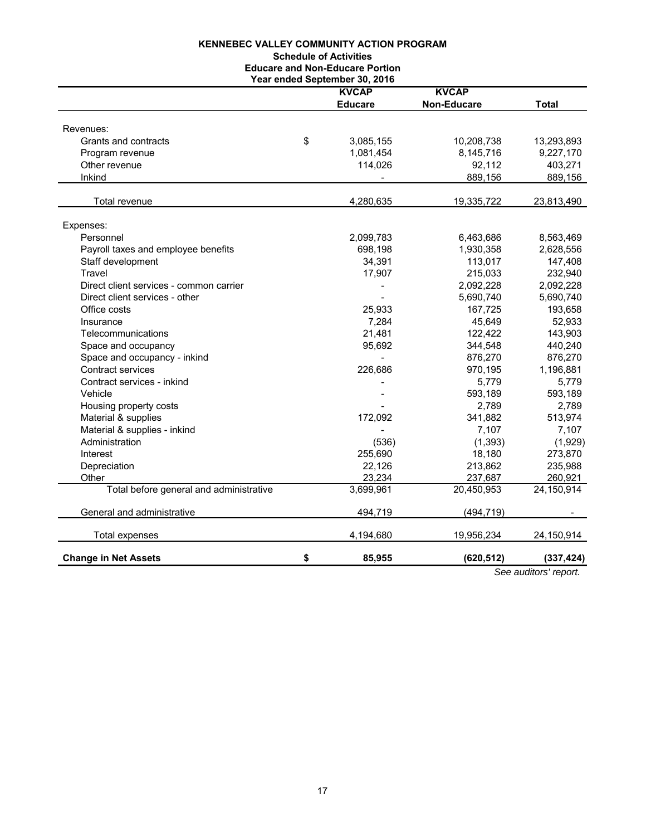#### **KENNEBEC VALLEY COMMUNITY ACTION PROGRAM**

#### **Schedule of Activities**

**Educare and Non-Educare Portion**

|                                         | Year ended September 30, 2016 |                    |                      |
|-----------------------------------------|-------------------------------|--------------------|----------------------|
|                                         | <b>KVCAP</b>                  | <b>KVCAP</b>       |                      |
|                                         | <b>Educare</b>                | <b>Non-Educare</b> | <b>Total</b>         |
|                                         |                               |                    |                      |
| Revenues:                               |                               |                    |                      |
| Grants and contracts                    | \$<br>3,085,155               | 10,208,738         | 13,293,893           |
| Program revenue                         | 1,081,454                     | 8,145,716          | 9,227,170            |
| Other revenue                           | 114,026                       | 92,112             | 403,271              |
| Inkind                                  |                               | 889,156            | 889,156              |
|                                         |                               |                    |                      |
| Total revenue                           | 4,280,635                     | 19,335,722         | 23,813,490           |
|                                         |                               |                    |                      |
| Expenses:                               |                               |                    |                      |
| Personnel                               | 2,099,783                     | 6,463,686          | 8,563,469            |
| Payroll taxes and employee benefits     | 698,198                       | 1,930,358          | 2,628,556            |
| Staff development                       | 34,391                        | 113,017            | 147,408              |
| Travel                                  | 17,907                        | 215,033            | 232,940              |
| Direct client services - common carrier |                               | 2,092,228          | 2,092,228            |
| Direct client services - other          |                               | 5,690,740          | 5,690,740            |
| Office costs                            | 25,933                        | 167,725            | 193,658              |
| Insurance                               | 7,284                         | 45,649             | 52,933               |
| Telecommunications                      | 21,481                        | 122,422            | 143,903              |
| Space and occupancy                     | 95,692                        | 344,548            | 440,240              |
| Space and occupancy - inkind            |                               | 876,270            | 876,270              |
| Contract services                       | 226,686                       | 970,195            | 1,196,881            |
| Contract services - inkind              |                               | 5,779              | 5,779                |
| Vehicle                                 |                               | 593,189            | 593,189              |
| Housing property costs                  |                               | 2,789              | 2,789                |
| Material & supplies                     | 172,092                       | 341,882            | 513,974              |
| Material & supplies - inkind            |                               | 7,107              | 7,107                |
| Administration                          | (536)                         | (1, 393)           | (1,929)              |
| Interest                                | 255,690                       | 18,180             | 273,870              |
| Depreciation                            | 22,126                        | 213,862            | 235,988              |
| Other                                   | 23,234                        | 237,687            | 260,921              |
| Total before general and administrative | 3,699,961                     | 20,450,953         | 24,150,914           |
| General and administrative              | 494,719                       | (494, 719)         |                      |
| Total expenses                          | 4,194,680                     | 19,956,234         | 24,150,914           |
| <b>Change in Net Assets</b>             | \$<br>85,955                  | (620, 512)         | (337, 424)           |
|                                         |                               |                    | Can auditaval vanaut |

*See auditors' report.*